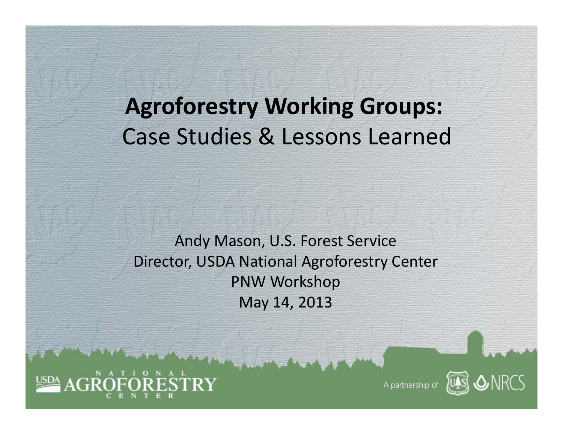## **Agroforestry Working Groups:** Case Studies & Lessons Learned

Andy Mason, U.S. Forest Service Director, USDA National Agroforestry Center PNW Workshop May 14, 2013





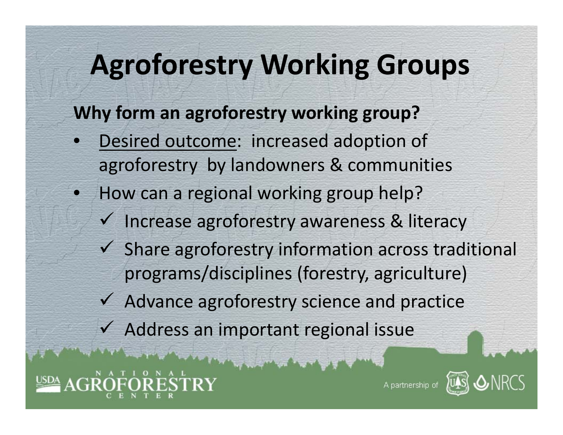## **Agroforestry Working Groups**

**Why form an agroforestry working group?**

- $\bullet$ • Desired outcome: increased adoption of agroforestry by landowners & communities
- $\bullet$ • How can a regional working group help?
	- $\checkmark$  Increase agroforestry awareness & literacy
	- $\checkmark$  Share agroforestry information across traditional programs/disciplines (forestry, agriculture)
	- $\checkmark$  Advance agroforestry science and practice
	- $\checkmark$  Address an important regional issue

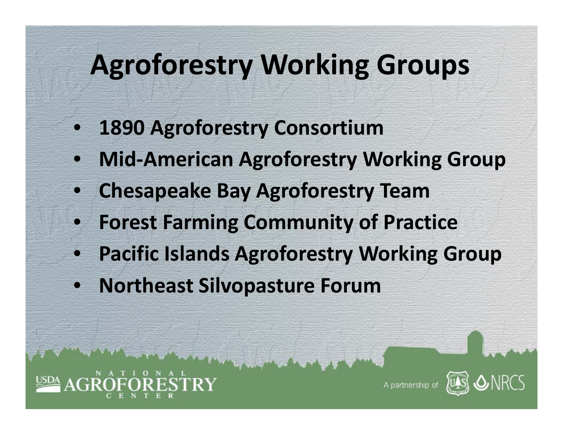## **Agroforestry Working Groups**

- $\bullet$ **1890 Agroforestry Consortium**
- $\bullet$ **Mid‐American Agroforestry Working Group**
- $\bullet$ **Chesapeake Bay Agroforestry Team**
- $\bullet$ **Forest Farming Community of Practice**
- $\bullet$ **Pacific Islands Agroforestry Working Group**
- $\bullet$ **Northeast Silvopasture Forum**

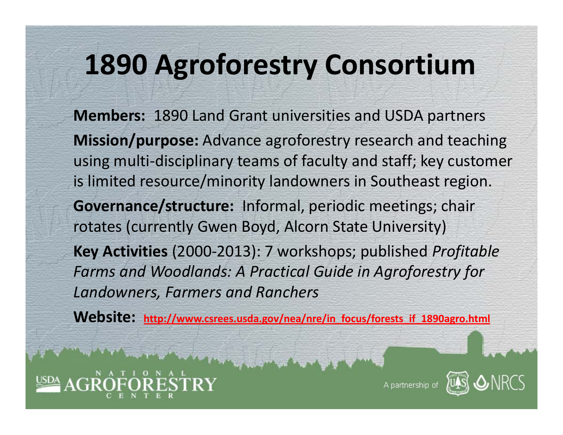## **1890 Agroforestry Consortium**

**Members:** 1890 Land Grant universities and USDA partners **Mission/purpose:** Advance agroforestry research and teaching using multi‐disciplinary teams of faculty and staff; key customer is limited resource/minority landowners in Southeast region. **Governance/structure:** Informal, periodic meetings; chair rotates (currently Gwen Boyd, Alcorn State University) **Key Activities** (2000‐2013): 7 workshops; published *Profitable Farms and Woodlands: A Practical Guide in Agroforestry for Landowners, Farmers and Ranchers*

**Website: http://www.csrees.usda.gov/nea/nre/in\_focus/forests\_if\_1890agro.html**



A partnership o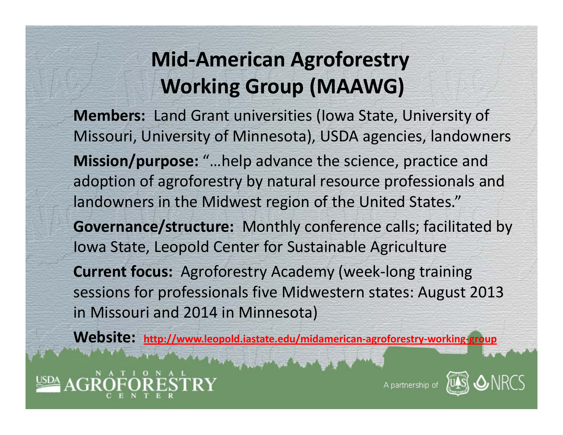### **Mid‐American Agroforestry Working Group (MAAWG)**

**Members:** Land Grant universities (Iowa State, University of Missouri, University of Minnesota), USDA agencies, landowners **Mission/purpose:** "…help advance the science, practice and adoption of agroforestry by natural resource professionals and landowners in the Midwest region of the United States." **Governance/structure:** Monthly conference calls; facilitated by Iowa State, Leopold Center for Sustainable Agriculture **Current focus:** Agroforestry Academy (week‐long training sessions for professionals five Midwestern states: August 2013 in Missouri and 2014 in Minnesota)

**Website: http://www.leopold.iastate.edu/midamerican‐agroforestry‐working‐group**



A partnership of

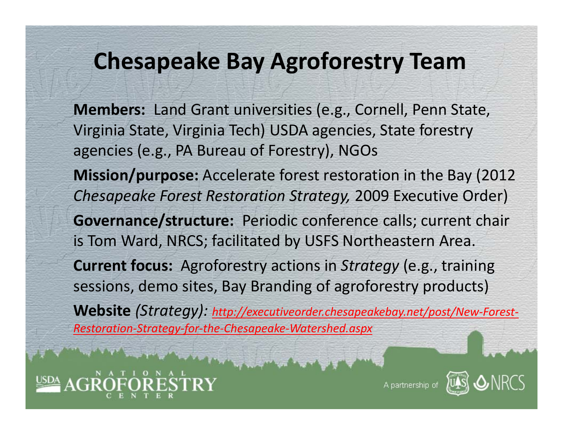### **Chesapeake Bay Agroforestry Team**

**Members:** Land Grant universities (e.g., Cornell, Penn State, Virginia State, Virginia Tech) USDA agencies, State forestry agencies (e.g., PA Bureau of Forestry), NGOs **Mission/purpose:** Accelerate forest restoration in the Bay (2012 *Chesapeake Forest Restoration Strategy,* 2009 Executive Order) **Governance/structure:** Periodic conference calls; current chair is Tom Ward, NRCS; facilitated by USFS Northeastern Area. **Current focus:** Agroforestry actions in *Strategy* (e.g., training sessions, demo sites, Bay Branding of agroforestry products) **Website** *(Strategy): http://executiveorder.chesapeakebay.net/post/New‐Forest‐ Restoration‐Strategy‐for‐the‐Chesapeake‐Watershed.aspx*



A partnership of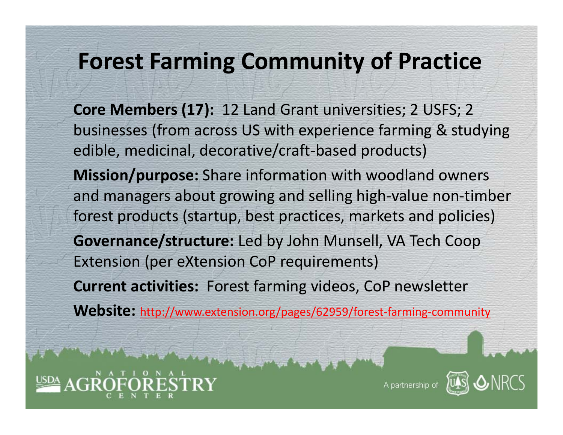### **Forest Farming Community of Practice**

**Core Members (17):** 12 Land Grant universities; 2 USFS; 2 businesses (from across US with experience farming & studying edible, medicinal, decorative/craft‐based products) **Mission/purpose:** Share information with woodland owners and managers about growing and selling high‐value non‐timber forest products (startup, best practices, markets and policies) **Governance/structure:** Led by John Munsell, VA Tech Coop Extension (per eXtension CoP requirements) **Current activities:** Forest farming videos, CoP newsletter **Website:** http://www.extension.org/pages/62959/forest‐farming‐community



A partnership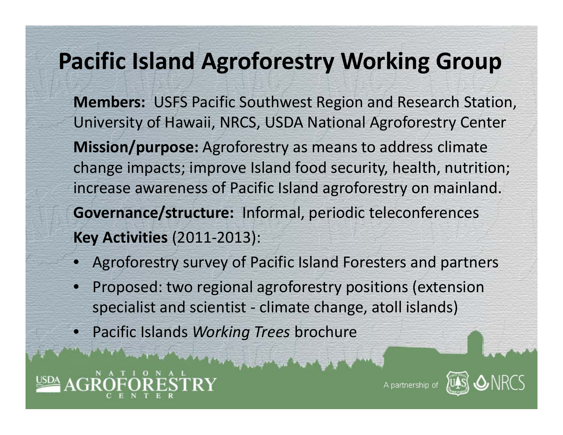## **Pacific Island Agroforestry Working Group**

**Members:** USFS Pacific Southwest Region and Research Station, University of Hawaii, NRCS, USDA National Agroforestry Center **Mission/purpose:** Agroforestry as means to address climate change impacts; improve Island food security, health, nutrition; increase awareness of Pacific Island agroforestry on mainland. **Governance/structure:** Informal, periodic teleconferences **Key Activities** (2011‐2013):

- Agroforestry survey of Pacific Island Foresters and partners
- • Proposed: two regional agroforestry positions (extension specialist and scientist ‐ climate change, atoll islands)
- •Pacific Islands *Working Trees* brochure



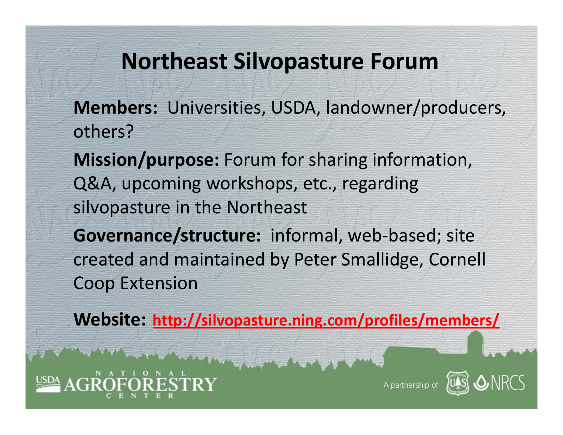#### **Northeast Silvopasture Forum**

- **Members:** Universities, USDA, landowner/producers, others?
- **Mission/purpose:** Forum for sharing information, Q&A, upcoming workshops, etc., regarding silvopasture in the Northeast
- **Governance/structure:** informal, web‐based; site created and maintained by Peter Smallidge, Cornell Coop Extension

**Website: http://silvopasture.ning.com/profiles/members/**



A partnership o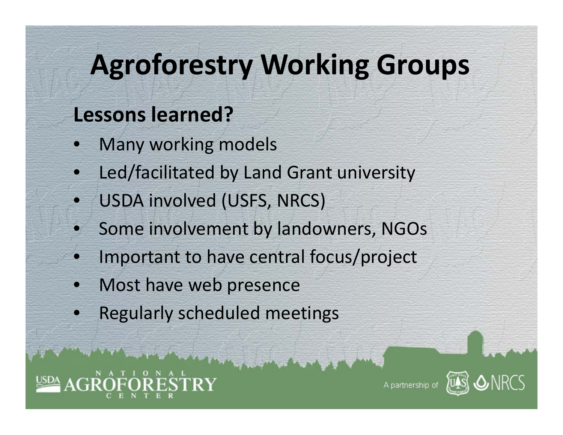## **Agroforestry Working Groups**

### **Lessons learned?**

- •Many working models
- $\bullet$ Led/facilitated by Land Grant university
- •USDA involved (USFS, NRCS)
- •**• Some involvement by landowners, NGOs**
- $\bullet$ Important to have central focus/project
- •• Most have web presence
- $\bullet$ Regularly scheduled meetings